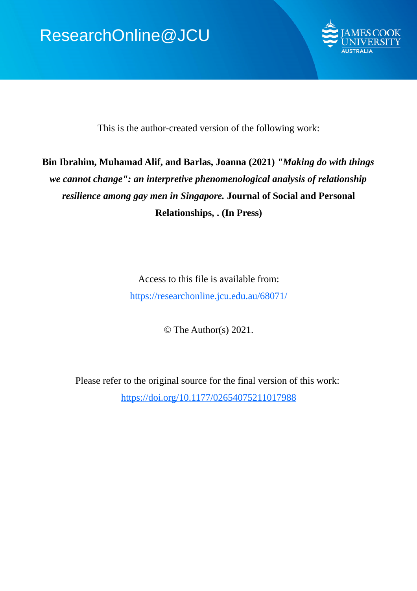

This is the author-created version of the following work:

# **Bin Ibrahim, Muhamad Alif, and Barlas, Joanna (2021)** *"Making do with things we cannot change": an interpretive phenomenological analysis of relationship resilience among gay men in Singapore.* **Journal of Social and Personal Relationships, . (In Press)**

Access to this file is available from: https://researchonline.jcu.edu.au/68071/

© The Author(s) 2021.

Please refer to the original source for the final version of this work: https://doi.org/10.1177/02654075211017988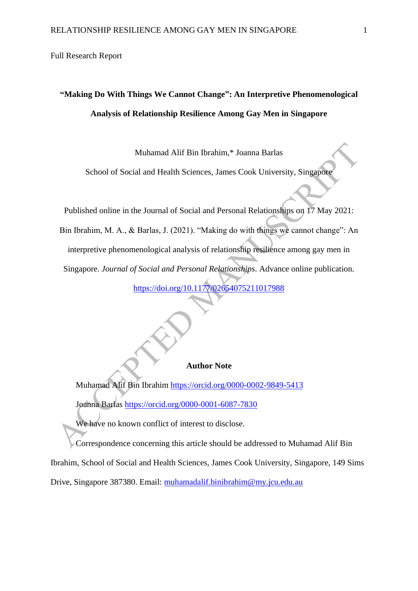Full Research Report

# **"Making Do With Things We Cannot Change": An Interpretive Phenomenological Analysis of Relationship Resilience Among Gay Men in Singapore**

Muhamad Alif Bin Ibrahim,\* Joanna Barlas

School of Social and Health Sciences, James Cook University, Singapore

Published online in the Journal of Social and Personal Relationships on 17 May 2021: Bin Ibrahim, M. A., & Barlas, J. (2021). "Making do with things we cannot change": An interpretive phenomenological analysis of relationship resilience among gay men in Singapore. *Journal of Social and Personal Relationships*. Advance online publication. <https://doi.org/10.1177/02654075211017988>

## **Author Note**

Muhamad Alif Bin Ibrahim<https://orcid.org/0000-0002-9849-5413>

Joanna Barlas<https://orcid.org/0000-0001-6087-7830>

We have no known conflict of interest to disclose.

Correspondence concerning this article should be addressed to Muhamad Alif Bin Ibrahim, School of Social and Health Sciences, James Cook University, Singapore, 149 Sims Drive, Singapore 387380. Email: [muhamadalif.binibrahim@my.jcu.edu.au](mailto:muhamadalif.binibrahim@my.jcu.edu.au)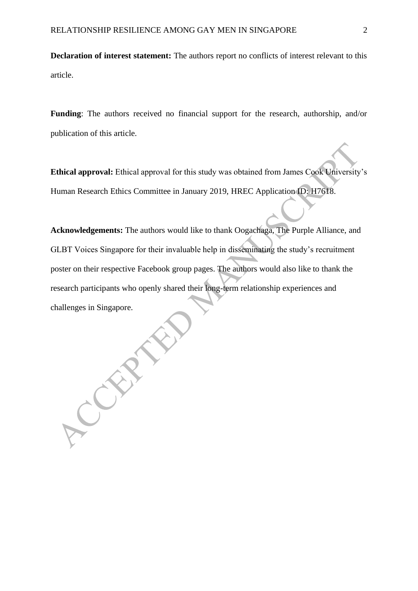**Declaration of interest statement:** The authors report no conflicts of interest relevant to this article.

**Funding**: The authors received no financial support for the research, authorship, and/or publication of this article.

**Ethical approval:** Ethical approval for this study was obtained from James Cook University's Human Research Ethics Committee in January 2019, HREC Application ID: H7618.

**Acknowledgements:** The authors would like to thank Oogachaga, The Purple Alliance, and GLBT Voices Singapore for their invaluable help in disseminating the study's recruitment poster on their respective Facebook group pages. The authors would also like to thank the research participants who openly shared their long-term relationship experiences and challenges in Singapore.

CRAY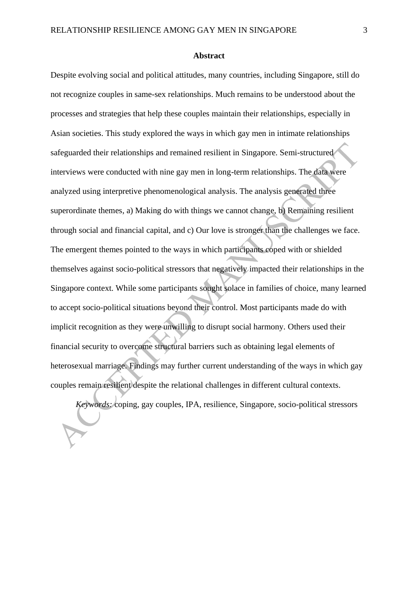#### **Abstract**

Despite evolving social and political attitudes, many countries, including Singapore, still do not recognize couples in same-sex relationships. Much remains to be understood about the processes and strategies that help these couples maintain their relationships, especially in Asian societies. This study explored the ways in which gay men in intimate relationships safeguarded their relationships and remained resilient in Singapore. Semi-structured interviews were conducted with nine gay men in long-term relationships. The data were analyzed using interpretive phenomenological analysis. The analysis generated three superordinate themes, a) Making do with things we cannot change, b) Remaining resilient through social and financial capital, and c) Our love is stronger than the challenges we face. The emergent themes pointed to the ways in which participants coped with or shielded themselves against socio-political stressors that negatively impacted their relationships in the Singapore context. While some participants sought solace in families of choice, many learned to accept socio-political situations beyond their control. Most participants made do with implicit recognition as they were unwilling to disrupt social harmony. Others used their financial security to overcome structural barriers such as obtaining legal elements of heterosexual marriage. Findings may further current understanding of the ways in which gay couples remain resilient despite the relational challenges in different cultural contexts.

*Keywords:* coping, gay couples, IPA, resilience, Singapore, socio-political stressors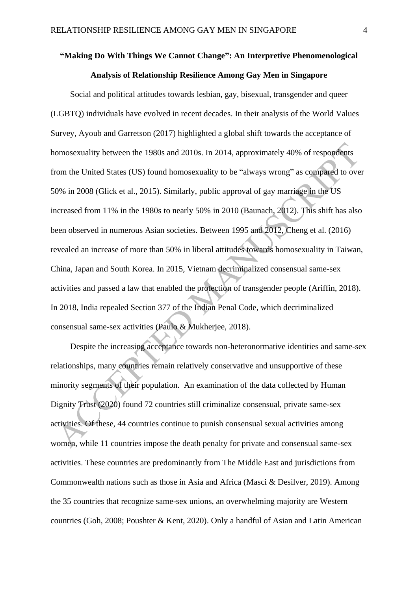# **"Making Do With Things We Cannot Change": An Interpretive Phenomenological Analysis of Relationship Resilience Among Gay Men in Singapore**

Social and political attitudes towards lesbian, gay, bisexual, transgender and queer (LGBTQ) individuals have evolved in recent decades. In their analysis of the World Values Survey, Ayoub and Garretson (2017) highlighted a global shift towards the acceptance of homosexuality between the 1980s and 2010s. In 2014, approximately 40% of respondents from the United States (US) found homosexuality to be "always wrong" as compared to over 50% in 2008 (Glick et al., 2015). Similarly, public approval of gay marriage in the US increased from 11% in the 1980s to nearly 50% in 2010 (Baunach, 2012). This shift has also been observed in numerous Asian societies. Between 1995 and 2012, Cheng et al. (2016) revealed an increase of more than 50% in liberal attitudes towards homosexuality in Taiwan, China, Japan and South Korea. In 2015, Vietnam decriminalized consensual same-sex activities and passed a law that enabled the protection of transgender people (Ariffin, 2018). In 2018, India repealed Section 377 of the Indian Penal Code, which decriminalized consensual same-sex activities (Paulo & Mukherjee, 2018).

Despite the increasing acceptance towards non-heteronormative identities and same-sex relationships, many countries remain relatively conservative and unsupportive of these minority segments of their population. An examination of the data collected by Human Dignity Trust (2020) found 72 countries still criminalize consensual, private same-sex activities. Of these, 44 countries continue to punish consensual sexual activities among women, while 11 countries impose the death penalty for private and consensual same-sex activities. These countries are predominantly from The Middle East and jurisdictions from Commonwealth nations such as those in Asia and Africa (Masci & Desilver, 2019). Among the 35 countries that recognize same-sex unions, an overwhelming majority are Western countries (Goh, 2008; Poushter & Kent, 2020). Only a handful of Asian and Latin American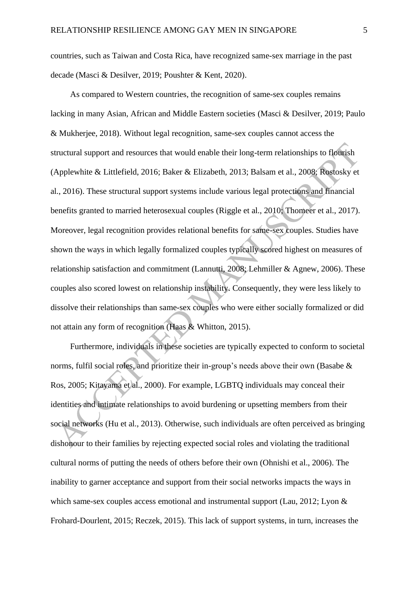countries, such as Taiwan and Costa Rica, have recognized same-sex marriage in the past decade (Masci & Desilver, 2019; Poushter & Kent, 2020).

As compared to Western countries, the recognition of same-sex couples remains lacking in many Asian, African and Middle Eastern societies (Masci & Desilver, 2019; Paulo & Mukherjee, 2018). Without legal recognition, same-sex couples cannot access the structural support and resources that would enable their long-term relationships to flourish (Applewhite & Littlefield, 2016; Baker & Elizabeth, 2013; Balsam et al., 2008; Rostosky et al., 2016). These structural support systems include various legal protections and financial benefits granted to married heterosexual couples (Riggle et al., 2010; Thomeer et al., 2017). Moreover, legal recognition provides relational benefits for same-sex couples. Studies have shown the ways in which legally formalized couples typically scored highest on measures of relationship satisfaction and commitment (Lannutti, 2008; Lehmiller & Agnew, 2006). These couples also scored lowest on relationship instability. Consequently, they were less likely to dissolve their relationships than same-sex couples who were either socially formalized or did not attain any form of recognition (Haas & Whitton, 2015).

Furthermore, individuals in these societies are typically expected to conform to societal norms, fulfil social roles, and prioritize their in-group's needs above their own (Basabe & Ros, 2005; Kitayama et al., 2000). For example, LGBTQ individuals may conceal their identities and intimate relationships to avoid burdening or upsetting members from their social networks (Hu et al., 2013). Otherwise, such individuals are often perceived as bringing dishonour to their families by rejecting expected social roles and violating the traditional cultural norms of putting the needs of others before their own (Ohnishi et al., 2006). The inability to garner acceptance and support from their social networks impacts the ways in which same-sex couples access emotional and instrumental support (Lau, 2012; Lyon & Frohard-Dourlent, 2015; Reczek, 2015). This lack of support systems, in turn, increases the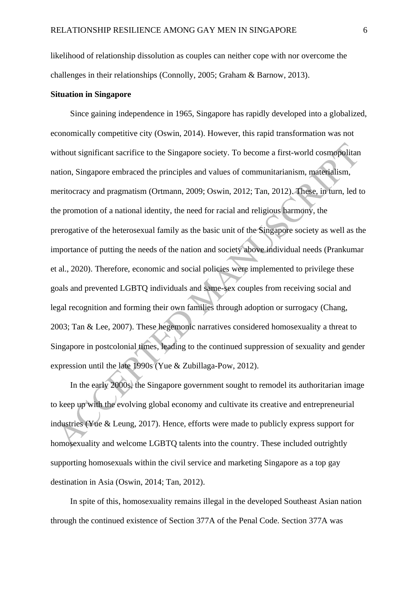likelihood of relationship dissolution as couples can neither cope with nor overcome the challenges in their relationships (Connolly, 2005; Graham & Barnow, 2013).

#### **Situation in Singapore**

Since gaining independence in 1965, Singapore has rapidly developed into a globalized, economically competitive city (Oswin, 2014). However, this rapid transformation was not without significant sacrifice to the Singapore society. To become a first-world cosmopolitan nation, Singapore embraced the principles and values of communitarianism, materialism, meritocracy and pragmatism (Ortmann, 2009; Oswin, 2012; Tan, 2012). These, in turn, led to the promotion of a national identity, the need for racial and religious harmony, the prerogative of the heterosexual family as the basic unit of the Singapore society as well as the importance of putting the needs of the nation and society above individual needs (Prankumar et al., 2020). Therefore, economic and social policies were implemented to privilege these goals and prevented LGBTQ individuals and same-sex couples from receiving social and legal recognition and forming their own families through adoption or surrogacy (Chang, 2003; Tan & Lee, 2007). These hegemonic narratives considered homosexuality a threat to Singapore in postcolonial times, leading to the continued suppression of sexuality and gender expression until the late 1990s (Yue & Zubillaga-Pow, 2012).

In the early 2000s, the Singapore government sought to remodel its authoritarian image to keep up with the evolving global economy and cultivate its creative and entrepreneurial industries (Yue & Leung, 2017). Hence, efforts were made to publicly express support for homosexuality and welcome LGBTQ talents into the country. These included outrightly supporting homosexuals within the civil service and marketing Singapore as a top gay destination in Asia (Oswin, 2014; Tan, 2012).

In spite of this, homosexuality remains illegal in the developed Southeast Asian nation through the continued existence of Section 377A of the Penal Code. Section 377A was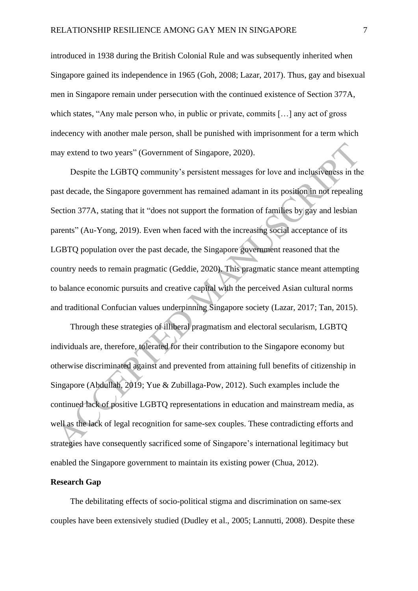introduced in 1938 during the British Colonial Rule and was subsequently inherited when Singapore gained its independence in 1965 (Goh, 2008; Lazar, 2017). Thus, gay and bisexual men in Singapore remain under persecution with the continued existence of Section 377A, which states, "Any male person who, in public or private, commits [...] any act of gross indecency with another male person, shall be punished with imprisonment for a term which may extend to two years" (Government of Singapore, 2020).

Despite the LGBTQ community's persistent messages for love and inclusiveness in the past decade, the Singapore government has remained adamant in its position in not repealing Section 377A, stating that it "does not support the formation of families by gay and lesbian parents" (Au-Yong, 2019). Even when faced with the increasing social acceptance of its LGBTQ population over the past decade, the Singapore government reasoned that the country needs to remain pragmatic (Geddie, 2020). This pragmatic stance meant attempting to balance economic pursuits and creative capital with the perceived Asian cultural norms and traditional Confucian values underpinning Singapore society (Lazar, 2017; Tan, 2015).

Through these strategies of illiberal pragmatism and electoral secularism, LGBTQ individuals are, therefore, tolerated for their contribution to the Singapore economy but otherwise discriminated against and prevented from attaining full benefits of citizenship in Singapore (Abdullah, 2019; Yue & Zubillaga-Pow, 2012). Such examples include the continued lack of positive LGBTQ representations in education and mainstream media, as well as the lack of legal recognition for same-sex couples. These contradicting efforts and strategies have consequently sacrificed some of Singapore's international legitimacy but enabled the Singapore government to maintain its existing power (Chua, 2012).

# **Research Gap**

The debilitating effects of socio-political stigma and discrimination on same-sex couples have been extensively studied (Dudley et al., 2005; Lannutti, 2008). Despite these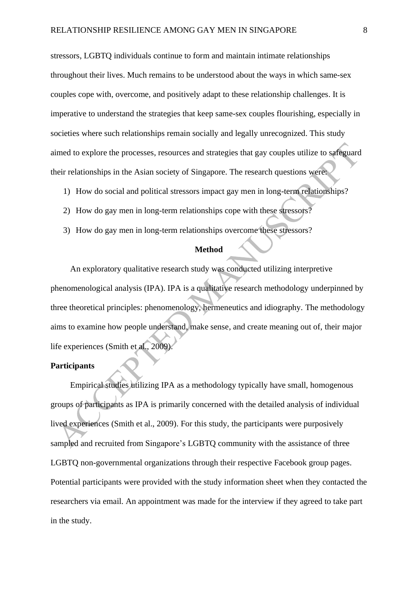stressors, LGBTQ individuals continue to form and maintain intimate relationships throughout their lives. Much remains to be understood about the ways in which same-sex couples cope with, overcome, and positively adapt to these relationship challenges. It is imperative to understand the strategies that keep same-sex couples flourishing, especially in societies where such relationships remain socially and legally unrecognized. This study aimed to explore the processes, resources and strategies that gay couples utilize to safeguard their relationships in the Asian society of Singapore. The research questions were:

- 1) How do social and political stressors impact gay men in long-term relationships?
- 2) How do gay men in long-term relationships cope with these stressors?
- 3) How do gay men in long-term relationships overcome these stressors?

# **Method**

An exploratory qualitative research study was conducted utilizing interpretive phenomenological analysis (IPA). IPA is a qualitative research methodology underpinned by three theoretical principles: phenomenology, hermeneutics and idiography. The methodology aims to examine how people understand, make sense, and create meaning out of, their major life experiences (Smith et al., 2009).

# **Participants**

Empirical studies utilizing IPA as a methodology typically have small, homogenous groups of participants as IPA is primarily concerned with the detailed analysis of individual lived experiences (Smith et al., 2009). For this study, the participants were purposively sampled and recruited from Singapore's LGBTQ community with the assistance of three LGBTQ non-governmental organizations through their respective Facebook group pages. Potential participants were provided with the study information sheet when they contacted the researchers via email. An appointment was made for the interview if they agreed to take part in the study.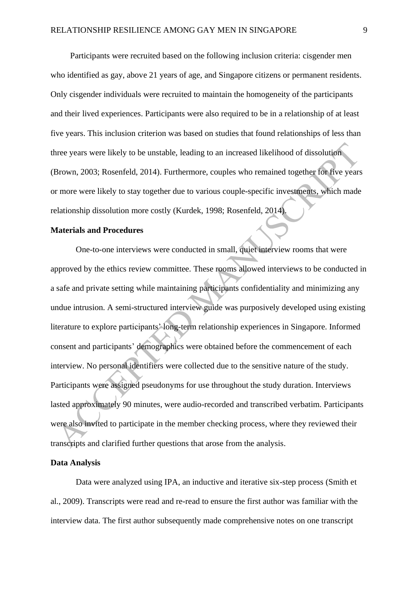Participants were recruited based on the following inclusion criteria: cisgender men who identified as gay, above 21 years of age, and Singapore citizens or permanent residents. Only cisgender individuals were recruited to maintain the homogeneity of the participants and their lived experiences. Participants were also required to be in a relationship of at least five years. This inclusion criterion was based on studies that found relationships of less than three years were likely to be unstable, leading to an increased likelihood of dissolution (Brown, 2003; Rosenfeld, 2014). Furthermore, couples who remained together for five years or more were likely to stay together due to various couple-specific investments, which made relationship dissolution more costly (Kurdek, 1998; Rosenfeld, 2014).

## **Materials and Procedures**

One-to-one interviews were conducted in small, quiet interview rooms that were approved by the ethics review committee. These rooms allowed interviews to be conducted in a safe and private setting while maintaining participants confidentiality and minimizing any undue intrusion. A semi-structured interview guide was purposively developed using existing literature to explore participants' long-term relationship experiences in Singapore. Informed consent and participants' demographics were obtained before the commencement of each interview. No personal identifiers were collected due to the sensitive nature of the study. Participants were assigned pseudonyms for use throughout the study duration. Interviews lasted approximately 90 minutes, were audio-recorded and transcribed verbatim. Participants were also invited to participate in the member checking process, where they reviewed their transcripts and clarified further questions that arose from the analysis.

#### **Data Analysis**

Data were analyzed using IPA, an inductive and iterative six-step process (Smith et al., 2009). Transcripts were read and re-read to ensure the first author was familiar with the interview data. The first author subsequently made comprehensive notes on one transcript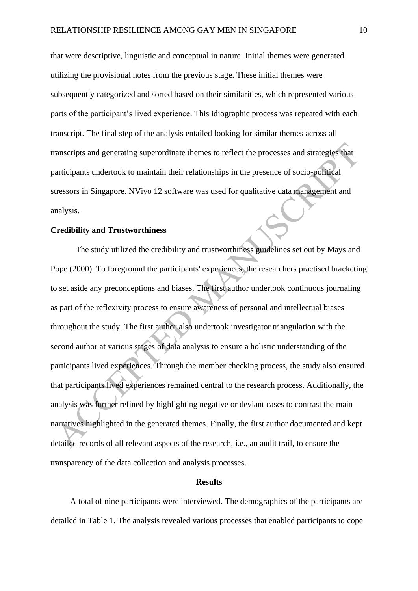that were descriptive, linguistic and conceptual in nature. Initial themes were generated utilizing the provisional notes from the previous stage. These initial themes were subsequently categorized and sorted based on their similarities, which represented various parts of the participant's lived experience. This idiographic process was repeated with each transcript. The final step of the analysis entailed looking for similar themes across all transcripts and generating superordinate themes to reflect the processes and strategies that participants undertook to maintain their relationships in the presence of socio-political stressors in Singapore. NVivo 12 software was used for qualitative data management and analysis.

#### **Credibility and Trustworthiness**

The study utilized the credibility and trustworthiness guidelines set out by Mays and Pope (2000). To foreground the participants' experiences, the researchers practised bracketing to set aside any preconceptions and biases. The first author undertook continuous journaling as part of the reflexivity process to ensure awareness of personal and intellectual biases throughout the study. The first author also undertook investigator triangulation with the second author at various stages of data analysis to ensure a holistic understanding of the participants lived experiences. Through the member checking process, the study also ensured that participants lived experiences remained central to the research process. Additionally, the analysis was further refined by highlighting negative or deviant cases to contrast the main narratives highlighted in the generated themes. Finally, the first author documented and kept detailed records of all relevant aspects of the research, i.e., an audit trail, to ensure the transparency of the data collection and analysis processes.

#### **Results**

A total of nine participants were interviewed. The demographics of the participants are detailed in Table 1. The analysis revealed various processes that enabled participants to cope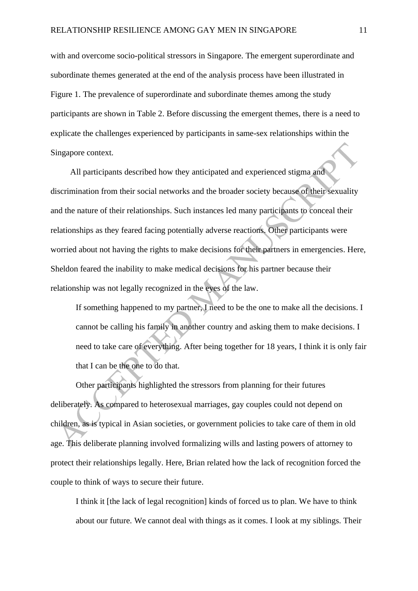with and overcome socio-political stressors in Singapore. The emergent superordinate and subordinate themes generated at the end of the analysis process have been illustrated in Figure 1. The prevalence of superordinate and subordinate themes among the study participants are shown in Table 2. Before discussing the emergent themes, there is a need to explicate the challenges experienced by participants in same-sex relationships within the Singapore context.

All participants described how they anticipated and experienced stigma and discrimination from their social networks and the broader society because of their sexuality and the nature of their relationships. Such instances led many participants to conceal their relationships as they feared facing potentially adverse reactions. Other participants were worried about not having the rights to make decisions for their partners in emergencies. Here, Sheldon feared the inability to make medical decisions for his partner because their relationship was not legally recognized in the eyes of the law.

If something happened to my partner, I need to be the one to make all the decisions. I cannot be calling his family in another country and asking them to make decisions. I need to take care of everything. After being together for 18 years, I think it is only fair that I can be the one to do that.

Other participants highlighted the stressors from planning for their futures deliberately. As compared to heterosexual marriages, gay couples could not depend on children, as is typical in Asian societies, or government policies to take care of them in old age. This deliberate planning involved formalizing wills and lasting powers of attorney to protect their relationships legally. Here, Brian related how the lack of recognition forced the couple to think of ways to secure their future.

I think it [the lack of legal recognition] kinds of forced us to plan. We have to think about our future. We cannot deal with things as it comes. I look at my siblings. Their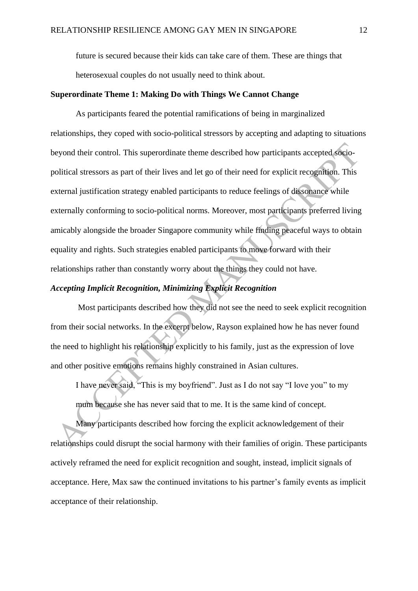future is secured because their kids can take care of them. These are things that heterosexual couples do not usually need to think about.

#### **Superordinate Theme 1: Making Do with Things We Cannot Change**

As participants feared the potential ramifications of being in marginalized relationships, they coped with socio-political stressors by accepting and adapting to situations beyond their control. This superordinate theme described how participants accepted sociopolitical stressors as part of their lives and let go of their need for explicit recognition. This external justification strategy enabled participants to reduce feelings of dissonance while externally conforming to socio-political norms. Moreover, most participants preferred living amicably alongside the broader Singapore community while finding peaceful ways to obtain equality and rights. Such strategies enabled participants to move forward with their relationships rather than constantly worry about the things they could not have.

# *Accepting Implicit Recognition, Minimizing Explicit Recognition*

Most participants described how they did not see the need to seek explicit recognition from their social networks. In the excerpt below, Rayson explained how he has never found the need to highlight his relationship explicitly to his family, just as the expression of love and other positive emotions remains highly constrained in Asian cultures.

I have never said, "This is my boyfriend". Just as I do not say "I love you" to my mum because she has never said that to me. It is the same kind of concept.

Many participants described how forcing the explicit acknowledgement of their relationships could disrupt the social harmony with their families of origin. These participants actively reframed the need for explicit recognition and sought, instead, implicit signals of acceptance. Here, Max saw the continued invitations to his partner's family events as implicit acceptance of their relationship.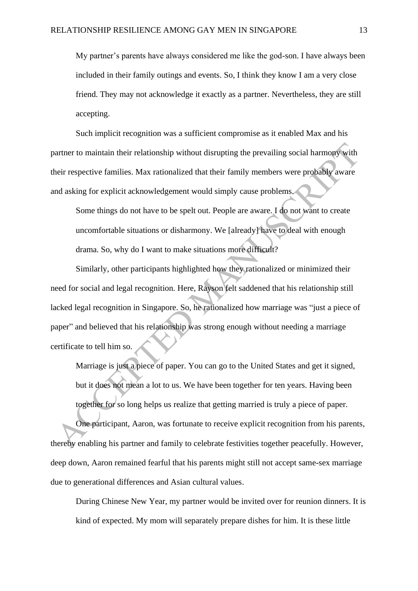My partner's parents have always considered me like the god-son. I have always been included in their family outings and events. So, I think they know I am a very close friend. They may not acknowledge it exactly as a partner. Nevertheless, they are still accepting.

Such implicit recognition was a sufficient compromise as it enabled Max and his partner to maintain their relationship without disrupting the prevailing social harmony with their respective families. Max rationalized that their family members were probably aware and asking for explicit acknowledgement would simply cause problems.

Some things do not have to be spelt out. People are aware. I do not want to create uncomfortable situations or disharmony. We [already] have to deal with enough drama. So, why do I want to make situations more difficult?

Similarly, other participants highlighted how they rationalized or minimized their need for social and legal recognition. Here, Rayson felt saddened that his relationship still lacked legal recognition in Singapore. So, he rationalized how marriage was "just a piece of paper" and believed that his relationship was strong enough without needing a marriage certificate to tell him so.

Marriage is just a piece of paper. You can go to the United States and get it signed, but it does not mean a lot to us. We have been together for ten years. Having been together for so long helps us realize that getting married is truly a piece of paper. One participant, Aaron, was fortunate to receive explicit recognition from his parents, thereby enabling his partner and family to celebrate festivities together peacefully. However, deep down, Aaron remained fearful that his parents might still not accept same-sex marriage due to generational differences and Asian cultural values.

During Chinese New Year, my partner would be invited over for reunion dinners. It is kind of expected. My mom will separately prepare dishes for him. It is these little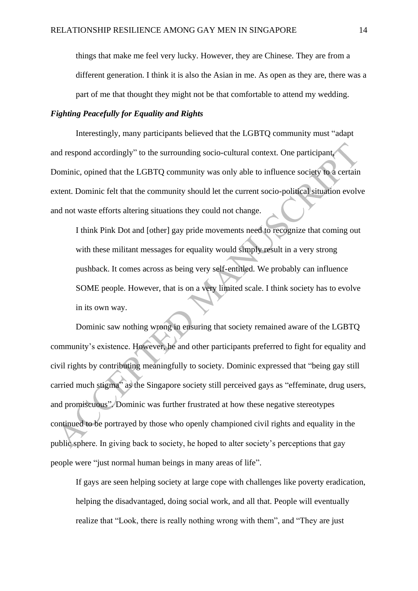things that make me feel very lucky. However, they are Chinese. They are from a different generation. I think it is also the Asian in me. As open as they are, there was a part of me that thought they might not be that comfortable to attend my wedding.

#### *Fighting Peacefully for Equality and Rights*

Interestingly, many participants believed that the LGBTQ community must "adapt and respond accordingly" to the surrounding socio-cultural context. One participant, Dominic, opined that the LGBTQ community was only able to influence society to a certain extent. Dominic felt that the community should let the current socio-political situation evolve and not waste efforts altering situations they could not change.

I think Pink Dot and [other] gay pride movements need to recognize that coming out with these militant messages for equality would simply result in a very strong pushback. It comes across as being very self-entitled. We probably can influence SOME people. However, that is on a very limited scale. I think society has to evolve in its own way.

Dominic saw nothing wrong in ensuring that society remained aware of the LGBTQ community's existence. However, he and other participants preferred to fight for equality and civil rights by contributing meaningfully to society. Dominic expressed that "being gay still carried much stigma" as the Singapore society still perceived gays as "effeminate, drug users, and promiscuous". Dominic was further frustrated at how these negative stereotypes continued to be portrayed by those who openly championed civil rights and equality in the public sphere. In giving back to society, he hoped to alter society's perceptions that gay people were "just normal human beings in many areas of life".

If gays are seen helping society at large cope with challenges like poverty eradication, helping the disadvantaged, doing social work, and all that. People will eventually realize that "Look, there is really nothing wrong with them", and "They are just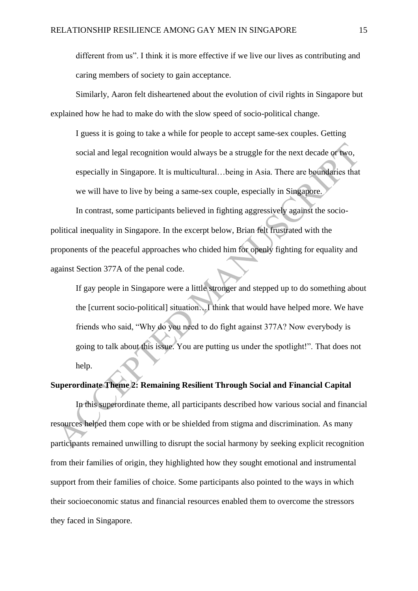different from us". I think it is more effective if we live our lives as contributing and caring members of society to gain acceptance.

Similarly, Aaron felt disheartened about the evolution of civil rights in Singapore but explained how he had to make do with the slow speed of socio-political change.

I guess it is going to take a while for people to accept same-sex couples. Getting social and legal recognition would always be a struggle for the next decade or two, especially in Singapore. It is multicultural…being in Asia. There are boundaries that we will have to live by being a same-sex couple, especially in Singapore.

In contrast, some participants believed in fighting aggressively against the sociopolitical inequality in Singapore. In the excerpt below, Brian felt frustrated with the proponents of the peaceful approaches who chided him for openly fighting for equality and against Section 377A of the penal code.

If gay people in Singapore were a little stronger and stepped up to do something about the [current socio-political] situation…I think that would have helped more. We have friends who said, "Why do you need to do fight against 377A? Now everybody is going to talk about this issue. You are putting us under the spotlight!". That does not help.

# **Superordinate Theme 2: Remaining Resilient Through Social and Financial Capital**

In this superordinate theme, all participants described how various social and financial resources helped them cope with or be shielded from stigma and discrimination. As many participants remained unwilling to disrupt the social harmony by seeking explicit recognition from their families of origin, they highlighted how they sought emotional and instrumental support from their families of choice. Some participants also pointed to the ways in which their socioeconomic status and financial resources enabled them to overcome the stressors they faced in Singapore.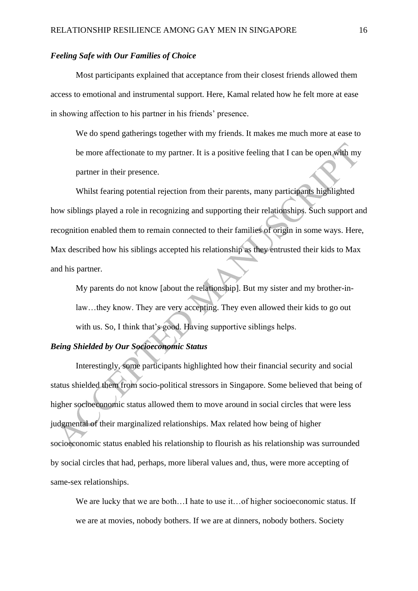## *Feeling Safe with Our Families of Choice*

Most participants explained that acceptance from their closest friends allowed them access to emotional and instrumental support. Here, Kamal related how he felt more at ease in showing affection to his partner in his friends' presence.

We do spend gatherings together with my friends. It makes me much more at ease to be more affectionate to my partner. It is a positive feeling that I can be open with my partner in their presence.

Whilst fearing potential rejection from their parents, many participants highlighted how siblings played a role in recognizing and supporting their relationships. Such support and recognition enabled them to remain connected to their families of origin in some ways. Here, Max described how his siblings accepted his relationship as they entrusted their kids to Max and his partner.

My parents do not know [about the relationship]. But my sister and my brother-inlaw…they know. They are very accepting. They even allowed their kids to go out with us. So, I think that's good. Having supportive siblings helps.

# *Being Shielded by Our Socioeconomic Status*

Interestingly, some participants highlighted how their financial security and social status shielded them from socio-political stressors in Singapore. Some believed that being of higher socioeconomic status allowed them to move around in social circles that were less judgmental of their marginalized relationships. Max related how being of higher socioeconomic status enabled his relationship to flourish as his relationship was surrounded by social circles that had, perhaps, more liberal values and, thus, were more accepting of same-sex relationships.

We are lucky that we are both...I hate to use it...of higher socioeconomic status. If we are at movies, nobody bothers. If we are at dinners, nobody bothers. Society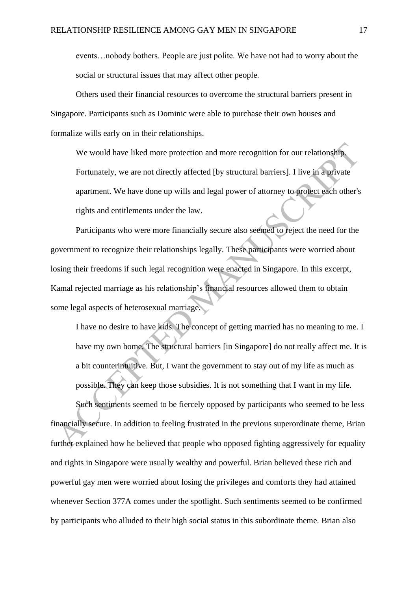events…nobody bothers. People are just polite. We have not had to worry about the social or structural issues that may affect other people.

Others used their financial resources to overcome the structural barriers present in Singapore. Participants such as Dominic were able to purchase their own houses and formalize wills early on in their relationships.

We would have liked more protection and more recognition for our relationship. Fortunately, we are not directly affected [by structural barriers]. I live in a private apartment. We have done up wills and legal power of attorney to protect each other's rights and entitlements under the law.

Participants who were more financially secure also seemed to reject the need for the government to recognize their relationships legally. These participants were worried about losing their freedoms if such legal recognition were enacted in Singapore. In this excerpt, Kamal rejected marriage as his relationship's financial resources allowed them to obtain some legal aspects of heterosexual marriage.

I have no desire to have kids. The concept of getting married has no meaning to me. I have my own home. The structural barriers [in Singapore] do not really affect me. It is a bit counterintuitive. But, I want the government to stay out of my life as much as possible. They can keep those subsidies. It is not something that I want in my life.

Such sentiments seemed to be fiercely opposed by participants who seemed to be less financially secure. In addition to feeling frustrated in the previous superordinate theme, Brian further explained how he believed that people who opposed fighting aggressively for equality and rights in Singapore were usually wealthy and powerful. Brian believed these rich and powerful gay men were worried about losing the privileges and comforts they had attained whenever Section 377A comes under the spotlight. Such sentiments seemed to be confirmed by participants who alluded to their high social status in this subordinate theme. Brian also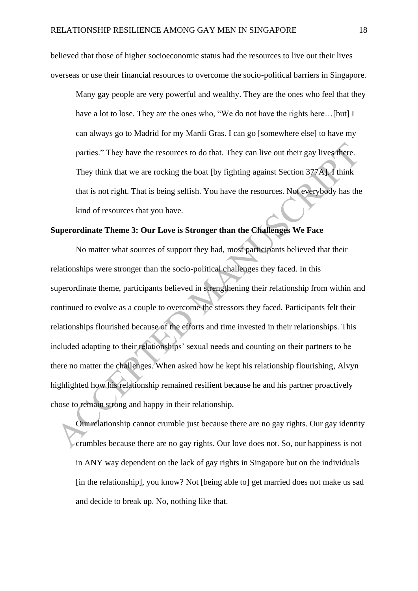believed that those of higher socioeconomic status had the resources to live out their lives overseas or use their financial resources to overcome the socio-political barriers in Singapore.

Many gay people are very powerful and wealthy. They are the ones who feel that they have a lot to lose. They are the ones who, "We do not have the rights here...[but] I can always go to Madrid for my Mardi Gras. I can go [somewhere else] to have my parties." They have the resources to do that. They can live out their gay lives there. They think that we are rocking the boat [by fighting against Section 377A]. I think that is not right. That is being selfish. You have the resources. Not everybody has the kind of resources that you have.

# **Superordinate Theme 3: Our Love is Stronger than the Challenges We Face**

No matter what sources of support they had, most participants believed that their relationships were stronger than the socio-political challenges they faced. In this superordinate theme, participants believed in strengthening their relationship from within and continued to evolve as a couple to overcome the stressors they faced. Participants felt their relationships flourished because of the efforts and time invested in their relationships. This included adapting to their relationships' sexual needs and counting on their partners to be there no matter the challenges. When asked how he kept his relationship flourishing, Alvyn highlighted how his relationship remained resilient because he and his partner proactively chose to remain strong and happy in their relationship.

Our relationship cannot crumble just because there are no gay rights. Our gay identity crumbles because there are no gay rights. Our love does not. So, our happiness is not in ANY way dependent on the lack of gay rights in Singapore but on the individuals [in the relationship], you know? Not [being able to] get married does not make us sad and decide to break up. No, nothing like that.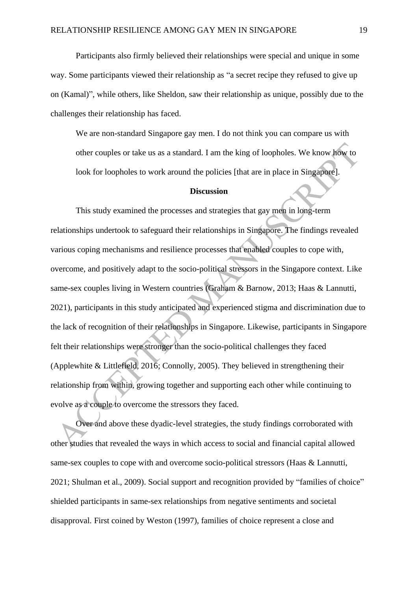Participants also firmly believed their relationships were special and unique in some way. Some participants viewed their relationship as "a secret recipe they refused to give up on (Kamal)", while others, like Sheldon, saw their relationship as unique, possibly due to the challenges their relationship has faced.

We are non-standard Singapore gay men. I do not think you can compare us with other couples or take us as a standard. I am the king of loopholes. We know how to look for loopholes to work around the policies [that are in place in Singapore].

#### **Discussion**

This study examined the processes and strategies that gay men in long-term relationships undertook to safeguard their relationships in Singapore. The findings revealed various coping mechanisms and resilience processes that enabled couples to cope with, overcome, and positively adapt to the socio-political stressors in the Singapore context. Like same-sex couples living in Western countries (Graham & Barnow, 2013; Haas & Lannutti, 2021), participants in this study anticipated and experienced stigma and discrimination due to the lack of recognition of their relationships in Singapore. Likewise, participants in Singapore felt their relationships were stronger than the socio-political challenges they faced (Applewhite & Littlefield, 2016; Connolly, 2005). They believed in strengthening their relationship from within, growing together and supporting each other while continuing to evolve as a couple to overcome the stressors they faced.

Over and above these dyadic-level strategies, the study findings corroborated with other studies that revealed the ways in which access to social and financial capital allowed same-sex couples to cope with and overcome socio-political stressors (Haas & Lannutti, 2021; Shulman et al., 2009). Social support and recognition provided by "families of choice" shielded participants in same-sex relationships from negative sentiments and societal disapproval. First coined by Weston (1997), families of choice represent a close and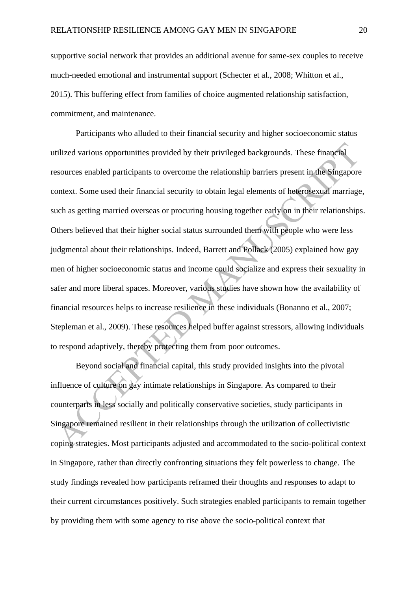supportive social network that provides an additional avenue for same-sex couples to receive much-needed emotional and instrumental support (Schecter et al., 2008; Whitton et al., 2015). This buffering effect from families of choice augmented relationship satisfaction, commitment, and maintenance.

Participants who alluded to their financial security and higher socioeconomic status utilized various opportunities provided by their privileged backgrounds. These financial resources enabled participants to overcome the relationship barriers present in the Singapore context. Some used their financial security to obtain legal elements of heterosexual marriage, such as getting married overseas or procuring housing together early on in their relationships. Others believed that their higher social status surrounded them with people who were less judgmental about their relationships. Indeed, Barrett and Pollack (2005) explained how gay men of higher socioeconomic status and income could socialize and express their sexuality in safer and more liberal spaces. Moreover, various studies have shown how the availability of financial resources helps to increase resilience in these individuals (Bonanno et al., 2007; Stepleman et al., 2009). These resources helped buffer against stressors, allowing individuals to respond adaptively, thereby protecting them from poor outcomes.

Beyond social and financial capital, this study provided insights into the pivotal influence of culture on gay intimate relationships in Singapore. As compared to their counterparts in less socially and politically conservative societies, study participants in Singapore remained resilient in their relationships through the utilization of collectivistic coping strategies. Most participants adjusted and accommodated to the socio-political context in Singapore, rather than directly confronting situations they felt powerless to change. The study findings revealed how participants reframed their thoughts and responses to adapt to their current circumstances positively. Such strategies enabled participants to remain together by providing them with some agency to rise above the socio-political context that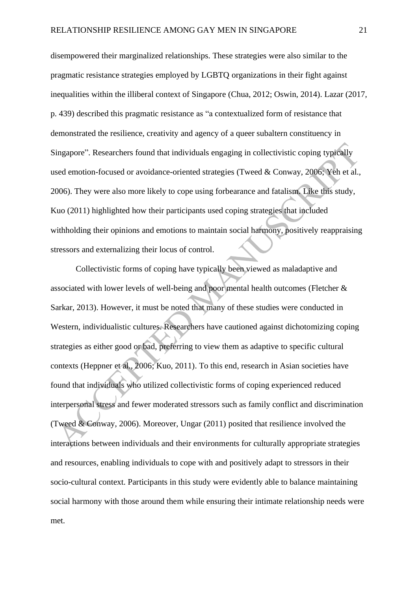disempowered their marginalized relationships. These strategies were also similar to the pragmatic resistance strategies employed by LGBTQ organizations in their fight against inequalities within the illiberal context of Singapore (Chua, 2012; Oswin, 2014). Lazar (2017, p. 439) described this pragmatic resistance as "a contextualized form of resistance that demonstrated the resilience, creativity and agency of a queer subaltern constituency in Singapore". Researchers found that individuals engaging in collectivistic coping typically used emotion-focused or avoidance-oriented strategies (Tweed & Conway, 2006; Yeh et al., 2006). They were also more likely to cope using forbearance and fatalism. Like this study, Kuo (2011) highlighted how their participants used coping strategies that included withholding their opinions and emotions to maintain social harmony, positively reappraising stressors and externalizing their locus of control.

Collectivistic forms of coping have typically been viewed as maladaptive and associated with lower levels of well-being and poor mental health outcomes (Fletcher & Sarkar, 2013). However, it must be noted that many of these studies were conducted in Western, individualistic cultures. Researchers have cautioned against dichotomizing coping strategies as either good or bad, preferring to view them as adaptive to specific cultural contexts (Heppner et al., 2006; Kuo, 2011). To this end, research in Asian societies have found that individuals who utilized collectivistic forms of coping experienced reduced interpersonal stress and fewer moderated stressors such as family conflict and discrimination (Tweed & Conway, 2006). Moreover, Ungar (2011) posited that resilience involved the interactions between individuals and their environments for culturally appropriate strategies and resources, enabling individuals to cope with and positively adapt to stressors in their socio-cultural context. Participants in this study were evidently able to balance maintaining social harmony with those around them while ensuring their intimate relationship needs were met.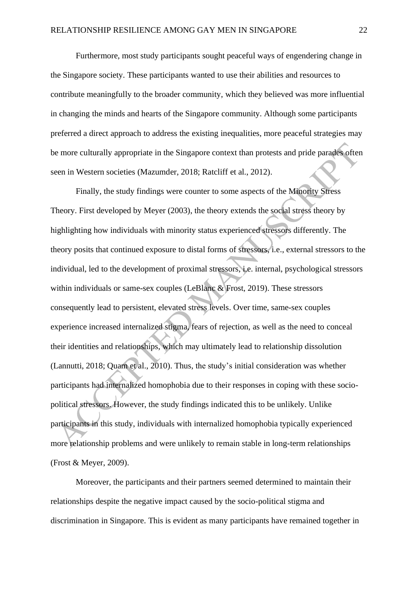Furthermore, most study participants sought peaceful ways of engendering change in the Singapore society. These participants wanted to use their abilities and resources to contribute meaningfully to the broader community, which they believed was more influential in changing the minds and hearts of the Singapore community. Although some participants preferred a direct approach to address the existing inequalities, more peaceful strategies may be more culturally appropriate in the Singapore context than protests and pride parades often seen in Western societies (Mazumder, 2018; Ratcliff et al., 2012).

Finally, the study findings were counter to some aspects of the Minority Stress Theory. First developed by Meyer (2003), the theory extends the social stress theory by highlighting how individuals with minority status experienced stressors differently. The theory posits that continued exposure to distal forms of stressors, i.e., external stressors to the individual, led to the development of proximal stressors, i.e. internal, psychological stressors within individuals or same-sex couples (LeBlanc & Frost, 2019). These stressors consequently lead to persistent, elevated stress levels. Over time, same-sex couples experience increased internalized stigma, fears of rejection, as well as the need to conceal their identities and relationships, which may ultimately lead to relationship dissolution (Lannutti, 2018; Quam et al., 2010). Thus, the study's initial consideration was whether participants had internalized homophobia due to their responses in coping with these sociopolitical stressors. However, the study findings indicated this to be unlikely. Unlike participants in this study, individuals with internalized homophobia typically experienced more relationship problems and were unlikely to remain stable in long-term relationships (Frost & Meyer, 2009).

Moreover, the participants and their partners seemed determined to maintain their relationships despite the negative impact caused by the socio-political stigma and discrimination in Singapore. This is evident as many participants have remained together in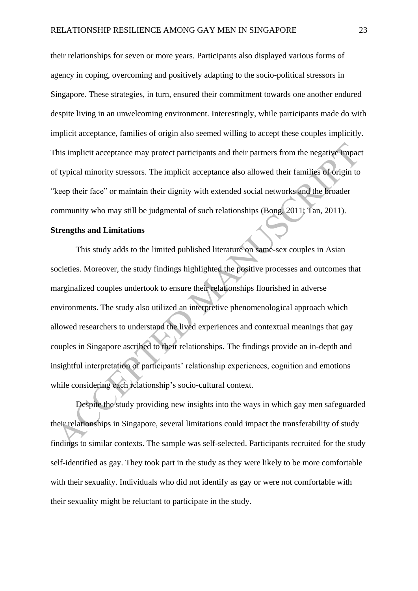their relationships for seven or more years. Participants also displayed various forms of agency in coping, overcoming and positively adapting to the socio-political stressors in Singapore. These strategies, in turn, ensured their commitment towards one another endured despite living in an unwelcoming environment. Interestingly, while participants made do with implicit acceptance, families of origin also seemed willing to accept these couples implicitly. This implicit acceptance may protect participants and their partners from the negative impact of typical minority stressors. The implicit acceptance also allowed their families of origin to "keep their face" or maintain their dignity with extended social networks and the broader community who may still be judgmental of such relationships (Bong, 2011; Tan, 2011).

# **Strengths and Limitations**

This study adds to the limited published literature on same-sex couples in Asian societies. Moreover, the study findings highlighted the positive processes and outcomes that marginalized couples undertook to ensure their relationships flourished in adverse environments. The study also utilized an interpretive phenomenological approach which allowed researchers to understand the lived experiences and contextual meanings that gay couples in Singapore ascribed to their relationships. The findings provide an in-depth and insightful interpretation of participants' relationship experiences, cognition and emotions while considering each relationship's socio-cultural context.

Despite the study providing new insights into the ways in which gay men safeguarded their relationships in Singapore, several limitations could impact the transferability of study findings to similar contexts. The sample was self-selected. Participants recruited for the study self-identified as gay. They took part in the study as they were likely to be more comfortable with their sexuality. Individuals who did not identify as gay or were not comfortable with their sexuality might be reluctant to participate in the study.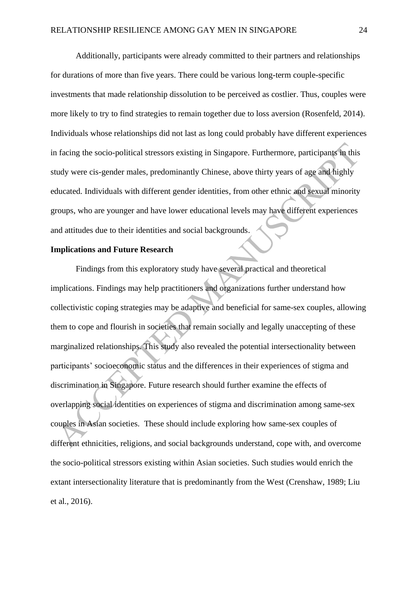Additionally, participants were already committed to their partners and relationships for durations of more than five years. There could be various long-term couple-specific investments that made relationship dissolution to be perceived as costlier. Thus, couples were more likely to try to find strategies to remain together due to loss aversion (Rosenfeld, 2014). Individuals whose relationships did not last as long could probably have different experiences in facing the socio-political stressors existing in Singapore. Furthermore, participants in this study were cis-gender males, predominantly Chinese, above thirty years of age and highly educated. Individuals with different gender identities, from other ethnic and sexual minority groups, who are younger and have lower educational levels may have different experiences and attitudes due to their identities and social backgrounds.

## **Implications and Future Research**

Findings from this exploratory study have several practical and theoretical implications. Findings may help practitioners and organizations further understand how collectivistic coping strategies may be adaptive and beneficial for same-sex couples, allowing them to cope and flourish in societies that remain socially and legally unaccepting of these marginalized relationships. This study also revealed the potential intersectionality between participants' socioeconomic status and the differences in their experiences of stigma and discrimination in Singapore. Future research should further examine the effects of overlapping social identities on experiences of stigma and discrimination among same-sex couples in Asian societies. These should include exploring how same-sex couples of different ethnicities, religions, and social backgrounds understand, cope with, and overcome the socio-political stressors existing within Asian societies. Such studies would enrich the extant intersectionality literature that is predominantly from the West (Crenshaw, 1989; Liu et al., 2016).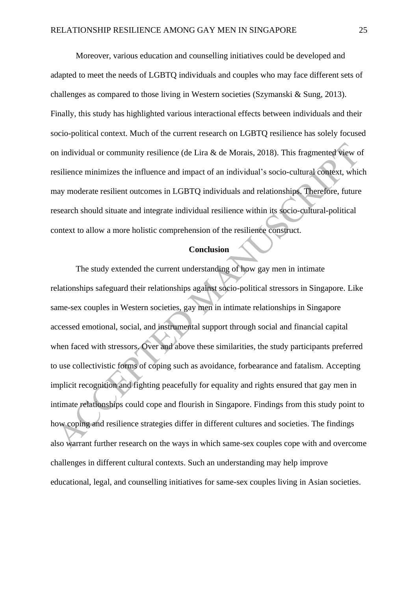Moreover, various education and counselling initiatives could be developed and adapted to meet the needs of LGBTQ individuals and couples who may face different sets of challenges as compared to those living in Western societies (Szymanski & Sung, 2013). Finally, this study has highlighted various interactional effects between individuals and their socio-political context. Much of the current research on LGBTQ resilience has solely focused on individual or community resilience (de Lira & de Morais, 2018). This fragmented view of resilience minimizes the influence and impact of an individual's socio-cultural context, which may moderate resilient outcomes in LGBTQ individuals and relationships. Therefore, future research should situate and integrate individual resilience within its socio-cultural-political context to allow a more holistic comprehension of the resilience construct.

# **Conclusion**

The study extended the current understanding of how gay men in intimate relationships safeguard their relationships against socio-political stressors in Singapore. Like same-sex couples in Western societies, gay men in intimate relationships in Singapore accessed emotional, social, and instrumental support through social and financial capital when faced with stressors. Over and above these similarities, the study participants preferred to use collectivistic forms of coping such as avoidance, forbearance and fatalism. Accepting implicit recognition and fighting peacefully for equality and rights ensured that gay men in intimate relationships could cope and flourish in Singapore. Findings from this study point to how coping and resilience strategies differ in different cultures and societies. The findings also warrant further research on the ways in which same-sex couples cope with and overcome challenges in different cultural contexts. Such an understanding may help improve educational, legal, and counselling initiatives for same-sex couples living in Asian societies.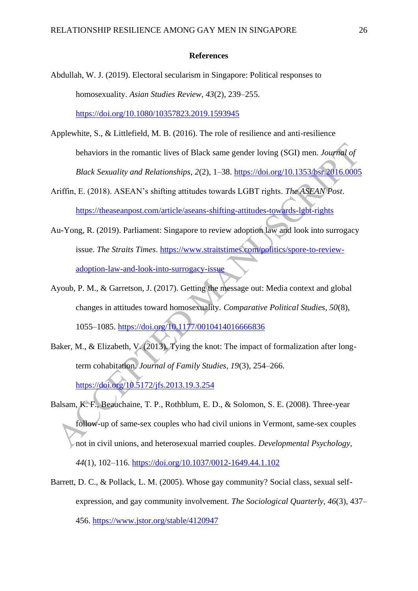#### **References**

- Abdullah, W. J. (2019). Electoral secularism in Singapore: Political responses to homosexuality. *Asian Studies Review, 43*(2), 239–255. <https://doi.org/10.1080/10357823.2019.1593945>
- Applewhite, S., & Littlefield, M. B. (2016). The role of resilience and anti-resilience behaviors in the romantic lives of Black same gender loving (SGI) men. *Journal of Black Sexuality and Relationships, 2*(2), 1–38.<https://doi.org/10.1353/bsr.2016.0005>
- Ariffin, E. (2018). ASEAN's shifting attitudes towards LGBT rights. *The ASEAN Post*. <https://theaseanpost.com/article/aseans-shifting-attitudes-towards-lgbt-rights>
- Au-Yong, R. (2019). Parliament: Singapore to review adoption law and look into surrogacy issue. *The Straits Times*. [https://www.straitstimes.com/politics/spore-to-review](https://www.straitstimes.com/politics/spore-to-review-adoption-law-and-look-into-surrogacy-issue)[adoption-law-and-look-into-surrogacy-issue](https://www.straitstimes.com/politics/spore-to-review-adoption-law-and-look-into-surrogacy-issue)
- Ayoub, P. M., & Garretson, J. (2017). Getting the message out: Media context and global changes in attitudes toward homosexuality. *Comparative Political Studies, 50*(8), 1055–1085.<https://doi.org/10.1177/0010414016666836>
- Baker, M., & Elizabeth, V. (2013). Tying the knot: The impact of formalization after longterm cohabitation. *Journal of Family Studies, 19*(3), 254–266. <https://doi.org/10.5172/jfs.2013.19.3.254>
- Balsam, K. F., Beauchaine, T. P., Rothblum, E. D., & Solomon, S. E. (2008). Three-year follow-up of same-sex couples who had civil unions in Vermont, same-sex couples not in civil unions, and heterosexual married couples. *Developmental Psychology, 44*(1), 102–116.<https://doi.org/10.1037/0012-1649.44.1.102>
- Barrett, D. C., & Pollack, L. M. (2005). Whose gay community? Social class, sexual selfexpression, and gay community involvement. *The Sociological Quarterly, 46*(3), 437– 456.<https://www.jstor.org/stable/4120947>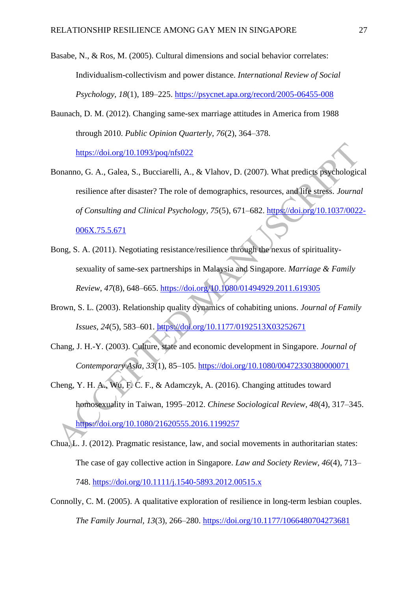- Basabe, N., & Ros, M. (2005). Cultural dimensions and social behavior correlates: Individualism-collectivism and power distance. *International Review of Social Psychology, 18*(1), 189–225. <https://psycnet.apa.org/record/2005-06455-008>
- Baunach, D. M. (2012). Changing same-sex marriage attitudes in America from 1988 through 2010. *Public Opinion Quarterly, 76*(2), 364–378. <https://doi.org/10.1093/poq/nfs022>
- Bonanno, G. A., Galea, S., Bucciarelli, A., & Vlahov, D. (2007). What predicts psychological resilience after disaster? The role of demographics, resources, and life stress. *Journal of Consulting and Clinical Psychology, 75*(5), 671–682. [https://doi.org/10.1037/0022-](https://doi.org/10.1037/0022-006X.75.5.671) [006X.75.5.671](https://doi.org/10.1037/0022-006X.75.5.671)
- Bong, S. A. (2011). Negotiating resistance/resilience through the nexus of spiritualitysexuality of same-sex partnerships in Malaysia and Singapore. *Marriage & Family Review, 47*(8), 648–665.<https://doi.org/10.1080/01494929.2011.619305>
- Brown, S. L. (2003). Relationship quality dynamics of cohabiting unions. *Journal of Family Issues, 24*(5), 583–601. <https://doi.org/10.1177/0192513X03252671>
- Chang, J. H.-Y. (2003). Culture, state and economic development in Singapore. *Journal of Contemporary Asia, 33*(1), 85–105. <https://doi.org/10.1080/00472330380000071>
- Cheng, Y. H. A., Wu, F. C. F., & Adamczyk, A. (2016). Changing attitudes toward homosexuality in Taiwan, 1995–2012. *Chinese Sociological Review, 48*(4), 317–345. <https://doi.org/10.1080/21620555.2016.1199257>
- Chua, L. J. (2012). Pragmatic resistance, law, and social movements in authoritarian states: The case of gay collective action in Singapore. *Law and Society Review, 46*(4), 713– 748.<https://doi.org/10.1111/j.1540-5893.2012.00515.x>
- Connolly, C. M. (2005). A qualitative exploration of resilience in long-term lesbian couples. *The Family Journal, 13*(3), 266–280.<https://doi.org/10.1177/1066480704273681>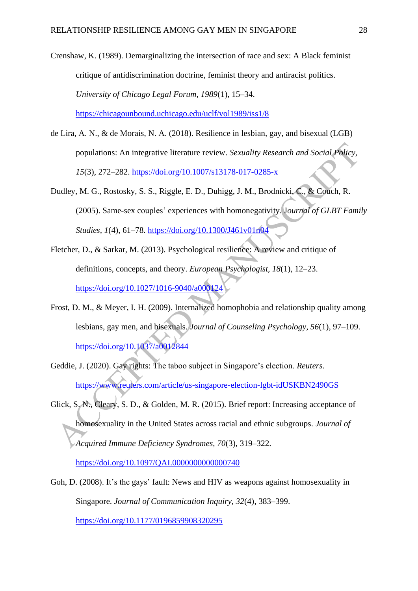Crenshaw, K. (1989). Demarginalizing the intersection of race and sex: A Black feminist critique of antidiscrimination doctrine, feminist theory and antiracist politics. *University of Chicago Legal Forum, 1989*(1), 15–34. <https://chicagounbound.uchicago.edu/uclf/vol1989/iss1/8>

- de Lira, A. N., & de Morais, N. A. (2018). Resilience in lesbian, gay, and bisexual (LGB) populations: An integrative literature review. *Sexuality Research and Social Policy, 15*(3), 272–282.<https://doi.org/10.1007/s13178-017-0285-x>
- Dudley, M. G., Rostosky, S. S., Riggle, E. D., Duhigg, J. M., Brodnicki, C., & Couch, R. (2005). Same-sex couples' experiences with homonegativity. J*ournal of GLBT Family Studies, 1*(4), 61–78.<https://doi.org/10.1300/J461v01n04>
- Fletcher, D., & Sarkar, M. (2013). Psychological resilience: A review and critique of definitions, concepts, and theory. *European Psychologist, 18*(1), 12–23. <https://doi.org/10.1027/1016-9040/a000124>
- Frost, D. M., & Meyer, I. H. (2009). Internalized homophobia and relationship quality among lesbians, gay men, and bisexuals. *Journal of Counseling Psychology, 56*(1), 97–109. <https://doi.org/10.1037/a0012844>
- Geddie, J. (2020). Gay rights: The taboo subject in Singapore's election. *Reuters*. <https://www.reuters.com/article/us-singapore-election-lgbt-idUSKBN2490GS>
- Glick, S. N., Cleary, S. D., & Golden, M. R. (2015). Brief report: Increasing acceptance of homosexuality in the United States across racial and ethnic subgroups. *Journal of Acquired Immune Deficiency Syndromes, 70*(3), 319–322.

<https://doi.org/10.1097/QAI.0000000000000740>

Goh, D. (2008). It's the gays' fault: News and HIV as weapons against homosexuality in Singapore. *Journal of Communication Inquiry, 32*(4), 383–399. <https://doi.org/10.1177/0196859908320295>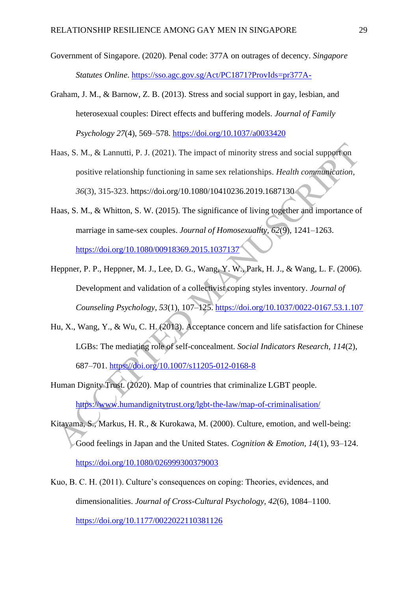- Government of Singapore. (2020). Penal code: 377A on outrages of decency. *Singapore Statutes Online*.<https://sso.agc.gov.sg/Act/PC1871?ProvIds=pr377A->
- Graham, J. M., & Barnow, Z. B. (2013). Stress and social support in gay, lesbian, and heterosexual couples: Direct effects and buffering models. *Journal of Family Psychology 27*(4), 569–578.<https://doi.org/10.1037/a0033420>
- Haas, S. M., & Lannutti, P. J. (2021). The impact of minority stress and social support on positive relationship functioning in same sex relationships. *Health communication*, *36*(3), 315-323. https://doi.org/10.1080/10410236.2019.1687130
- Haas, S. M., & Whitton, S. W. (2015). The significance of living together and importance of marriage in same-sex couples. *Journal of Homosexuality, 62*(9), 1241–1263. <https://doi.org/10.1080/00918369.2015.1037137>
- Heppner, P. P., Heppner, M. J., Lee, D. G., Wang, Y. W., Park, H. J., & Wang, L. F. (2006). Development and validation of a collectivist coping styles inventory. *Journal of Counseling Psychology, 53*(1), 107–125.<https://doi.org/10.1037/0022-0167.53.1.107>
- Hu, X., Wang, Y., & Wu, C. H. (2013). Acceptance concern and life satisfaction for Chinese LGBs: The mediating role of self-concealment. *Social Indicators Research, 114*(2), 687–701.<https://doi.org/10.1007/s11205-012-0168-8>
- Human Dignity Trust. (2020). Map of countries that criminalize LGBT people. <https://www.humandignitytrust.org/lgbt-the-law/map-of-criminalisation/>
- Kitayama, S., Markus, H. R., & Kurokawa, M. (2000). Culture, emotion, and well-being: Good feelings in Japan and the United States. *Cognition & Emotion, 14*(1), 93–124. <https://doi.org/10.1080/026999300379003>
- Kuo, B. C. H. (2011). Culture's consequences on coping: Theories, evidences, and dimensionalities. *Journal of Cross-Cultural Psychology, 42*(6), 1084–1100. <https://doi.org/10.1177/0022022110381126>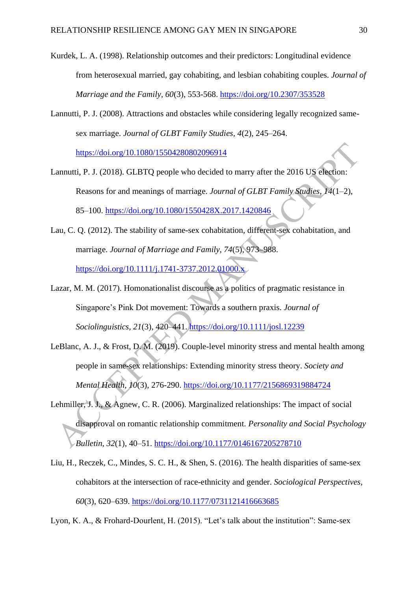- Kurdek, L. A. (1998). Relationship outcomes and their predictors: Longitudinal evidence from heterosexual married, gay cohabiting, and lesbian cohabiting couples. *Journal of Marriage and the Family, 60*(3), 553-568.<https://doi.org/10.2307/353528>
- Lannutti, P. J. (2008). Attractions and obstacles while considering legally recognized samesex marriage. *Journal of GLBT Family Studies, 4*(2), 245–264. <https://doi.org/10.1080/15504280802096914>

- Lannutti, P. J. (2018). GLBTQ people who decided to marry after the 2016 US election: Reasons for and meanings of marriage. *Journal of GLBT Family Studies, 14*(1–2), 85–100.<https://doi.org/10.1080/1550428X.2017.1420846>
- Lau, C. Q. (2012). The stability of same-sex cohabitation, different-sex cohabitation, and marriage. *Journal of Marriage and Family, 74*(5), 973–988. <https://doi.org/10.1111/j.1741-3737.2012.01000.x>
- Lazar, M. M. (2017). Homonationalist discourse as a politics of pragmatic resistance in Singapore's Pink Dot movement: Towards a southern praxis. *Journal of Sociolinguistics, 21*(3), 420–441.<https://doi.org/10.1111/josl.12239>
- LeBlanc, A. J., & Frost, D. M. (2019). Couple-level minority stress and mental health among people in same-sex relationships: Extending minority stress theory. *Society and Mental Health, 10*(3), 276-290.<https://doi.org/10.1177/2156869319884724>
- Lehmiller, J. J., & Agnew, C. R. (2006). Marginalized relationships: The impact of social disapproval on romantic relationship commitment. *Personality and Social Psychology Bulletin, 32*(1), 40–51.<https://doi.org/10.1177/0146167205278710>
- Liu, H., Reczek, C., Mindes, S. C. H., & Shen, S. (2016). The health disparities of same-sex cohabitors at the intersection of race-ethnicity and gender. *Sociological Perspectives, 60*(3), 620–639.<https://doi.org/10.1177/0731121416663685>
- Lyon, K. A., & Frohard-Dourlent, H. (2015). "Let's talk about the institution": Same-sex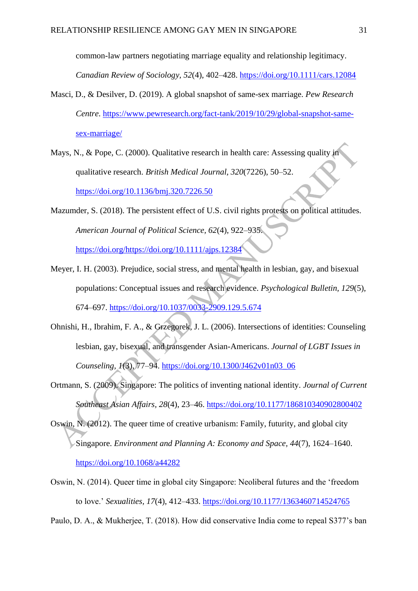common-law partners negotiating marriage equality and relationship legitimacy. *Canadian Review of Sociology, 52*(4), 402–428.<https://doi.org/10.1111/cars.12084>

- Masci, D., & Desilver, D. (2019). A global snapshot of same-sex marriage. *Pew Research Centre*. [https://www.pewresearch.org/fact-tank/2019/10/29/global-snapshot-same](https://www.pewresearch.org/fact-tank/2019/10/29/global-snapshot-same-sex-marriage/)[sex-marriage/](https://www.pewresearch.org/fact-tank/2019/10/29/global-snapshot-same-sex-marriage/)
- Mays, N., & Pope, C. (2000). Qualitative research in health care: Assessing quality in qualitative research. *British Medical Journal, 320*(7226), 50–52. <https://doi.org/10.1136/bmj.320.7226.50>
- Mazumder, S. (2018). The persistent effect of U.S. civil rights protests on political attitudes. *American Journal of Political Science, 62*(4), 922–935. [https://doi.org/https://doi.org/10.1111/ajps.12384](https://doi.org/https:/doi.org/10.1111/ajps.12384)
- Meyer, I. H. (2003). Prejudice, social stress, and mental health in lesbian, gay, and bisexual populations: Conceptual issues and research evidence. *Psychological Bulletin, 129*(5), 674–697.<https://doi.org/10.1037/0033-2909.129.5.674>
- Ohnishi, H., Ibrahim, F. A., & Grzegorek, J. L. (2006). Intersections of identities: Counseling lesbian, gay, bisexual, and transgender Asian-Americans. *Journal of LGBT Issues in Counseling, 1*(3), 77–94. [https://doi.org/10.1300/J462v01n03\\_06](https://doi.org/10.1300/J462v01n03_06)
- Ortmann, S. (2009). Singapore: The politics of inventing national identity. *Journal of Current Southeast Asian Affairs, 28*(4), 23–46. <https://doi.org/10.1177/186810340902800402>
- Oswin, N. (2012). The queer time of creative urbanism: Family, futurity, and global city Singapore. *Environment and Planning A: Economy and Space, 44*(7), 1624–1640. <https://doi.org/10.1068/a44282>
- Oswin, N. (2014). Queer time in global city Singapore: Neoliberal futures and the 'freedom to love.' *Sexualities, 17*(4), 412–433.<https://doi.org/10.1177/1363460714524765>
- Paulo, D. A., & Mukherjee, T. (2018). How did conservative India come to repeal S377's ban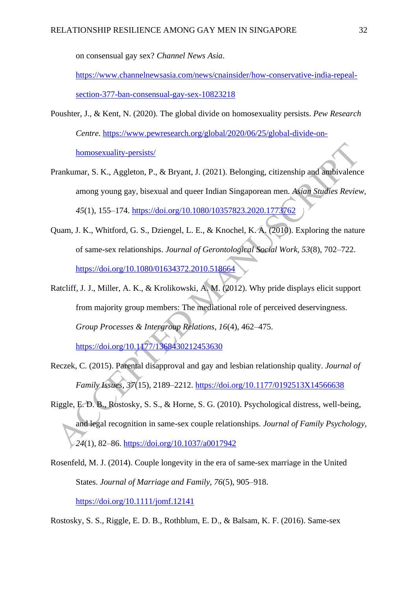on consensual gay sex? *Channel News Asia*.

[https://www.channelnewsasia.com/news/cnainsider/how-conservative-india-repeal](https://www.channelnewsasia.com/news/cnainsider/how-conservative-india-repeal-section-377-ban-consensual-gay-sex-10823218)[section-377-ban-consensual-gay-sex-10823218](https://www.channelnewsasia.com/news/cnainsider/how-conservative-india-repeal-section-377-ban-consensual-gay-sex-10823218)

- Poushter, J., & Kent, N. (2020). The global divide on homosexuality persists. *Pew Research Centre*. [https://www.pewresearch.org/global/2020/06/25/global-divide-on](https://www.pewresearch.org/global/2020/06/25/global-divide-on-homosexuality-persists/)[homosexuality-persists/](https://www.pewresearch.org/global/2020/06/25/global-divide-on-homosexuality-persists/)
- Prankumar, S. K., Aggleton, P., & Bryant, J. (2021). Belonging, citizenship and ambivalence among young gay, bisexual and queer Indian Singaporean men. *Asian Studies Review, 45*(1), 155–174.<https://doi.org/10.1080/10357823.2020.1773762>
- Quam, J. K., Whitford, G. S., Dziengel, L. E., & Knochel, K. A. (2010). Exploring the nature of same-sex relationships. *Journal of Gerontological Social Work, 53*(8), 702–722. <https://doi.org/10.1080/01634372.2010.518664>
- Ratcliff, J. J., Miller, A. K., & Krolikowski, A. M. (2012). Why pride displays elicit support from majority group members: The mediational role of perceived deservingness. *Group Processes & Intergroup Relations, 16*(4), 462–475. <https://doi.org/10.1177/1368430212453630>

Reczek, C. (2015). Parental disapproval and gay and lesbian relationship quality. *Journal of* 

*Family Issues, 37*(15), 2189–2212.<https://doi.org/10.1177/0192513X14566638>

- Riggle, E. D. B., Rostosky, S. S., & Horne, S. G. (2010). Psychological distress, well-being, and legal recognition in same-sex couple relationships. *Journal of Family Psychology, 24*(1), 82–86.<https://doi.org/10.1037/a0017942>
- Rosenfeld, M. J. (2014). Couple longevity in the era of same-sex marriage in the United States. *Journal of Marriage and Family, 76*(5), 905–918. <https://doi.org/10.1111/jomf.12141>

Rostosky, S. S., Riggle, E. D. B., Rothblum, E. D., & Balsam, K. F. (2016). Same-sex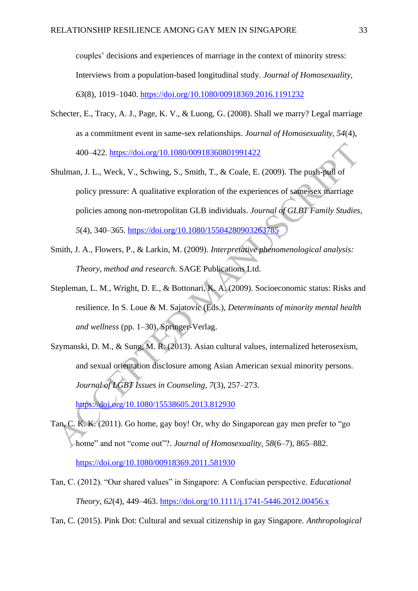couples' decisions and experiences of marriage in the context of minority stress: Interviews from a population-based longitudinal study. *Journal of Homosexuality, 63*(8), 1019–1040.<https://doi.org/10.1080/00918369.2016.1191232>

- Schecter, E., Tracy, A. J., Page, K. V., & Luong, G. (2008). Shall we marry? Legal marriage as a commitment event in same-sex relationships. *Journal of Homosexuality, 54*(4), 400–422.<https://doi.org/10.1080/00918360801991422>
- Shulman, J. L., Weck, V., Schwing, S., Smith, T., & Coale, E. (2009). The push-pull of policy pressure: A qualitative exploration of the experiences of same-sex marriage policies among non-metropolitan GLB individuals. *Journal of GLBT Family Studies, 5*(4), 340–365.<https://doi.org/10.1080/15504280903263785>
- Smith, J. A., Flowers, P., & Larkin, M. (2009). *Interpretative phenomenological analysis: Theory, method and research*. SAGE Publications Ltd.
- Stepleman, L. M., Wright, D. E., & Bottonari, K. A. (2009). Socioeconomic status: Risks and resilience. In S. Loue & M. Sajatovic (Eds.), *Determinants of minority mental health and wellness* (pp. 1–30). Springer-Verlag.
- Szymanski, D. M., & Sung, M. R. (2013). Asian cultural values, internalized heterosexism, and sexual orientation disclosure among Asian American sexual minority persons. *Journal of LGBT Issues in Counseling, 7*(3), 257–273.

<https://doi.org/10.1080/15538605.2013.812930>

- Tan, C. K. K. (2011). Go home, gay boy! Or, why do Singaporean gay men prefer to "go home" and not "come out"?. *Journal of Homosexuality*, 58(6–7), 865–882. <https://doi.org/10.1080/00918369.2011.581930>
- Tan, C. (2012). "Our shared values" in Singapore: A Confucian perspective. *Educational Theory, 62*(4), 449–463.<https://doi.org/10.1111/j.1741-5446.2012.00456.x>
- Tan, C. (2015). Pink Dot: Cultural and sexual citizenship in gay Singapore. *Anthropological*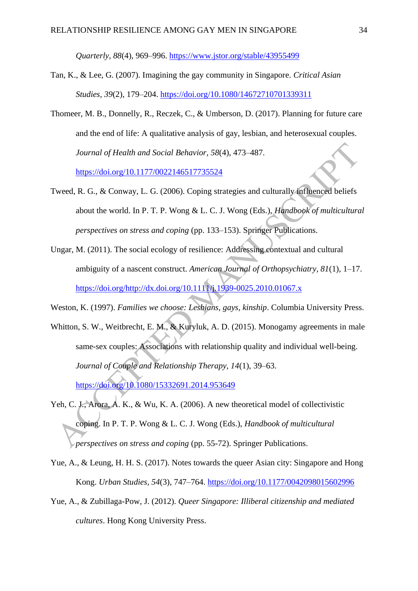*Quarterly, 88*(4), 969–996. <https://www.jstor.org/stable/43955499>

- Tan, K., & Lee, G. (2007). Imagining the gay community in Singapore. *Critical Asian Studies, 39*(2), 179–204. <https://doi.org/10.1080/14672710701339311>
- Thomeer, M. B., Donnelly, R., Reczek, C., & Umberson, D. (2017). Planning for future care and the end of life: A qualitative analysis of gay, lesbian, and heterosexual couples. *Journal of Health and Social Behavior, 58*(4), 473–487. <https://doi.org/10.1177/0022146517735524>
- Tweed, R. G., & Conway, L. G. (2006). Coping strategies and culturally influenced beliefs about the world. In P. T. P. Wong & L. C. J. Wong (Eds.), *Handbook of multicultural perspectives on stress and coping* (pp. 133–153). Springer Publications.
- Ungar, M. (2011). The social ecology of resilience: Addressing contextual and cultural ambiguity of a nascent construct. *American Journal of Orthopsychiatry, 81*(1), 1–17. [https://doi.org/http://dx.doi.org/10.1111/j.1939-0025.2010.01067.x](https://doi.org/http:/dx.doi.org/10.1111/j.1939-0025.2010.01067.x)
- Weston, K. (1997). *Families we choose: Lesbians, gays, kinship*. Columbia University Press.
- Whitton, S. W., Weitbrecht, E. M., & Kuryluk, A. D. (2015). Monogamy agreements in male same-sex couples: Associations with relationship quality and individual well-being. *Journal of Couple and Relationship Therapy, 14*(1), 39–63. <https://doi.org/10.1080/15332691.2014.953649>
- Yeh, C. J., Arora, A. K., & Wu, K. A. (2006). A new theoretical model of collectivistic coping. In P. T. P. Wong & L. C. J. Wong (Eds.), *Handbook of multicultural perspectives on stress and coping* (pp. 55-72). Springer Publications.
- Yue, A., & Leung, H. H. S. (2017). Notes towards the queer Asian city: Singapore and Hong Kong. *Urban Studies, 54*(3), 747–764.<https://doi.org/10.1177/0042098015602996>
- Yue, A., & Zubillaga-Pow, J. (2012). *Queer Singapore: Illiberal citizenship and mediated cultures*. Hong Kong University Press.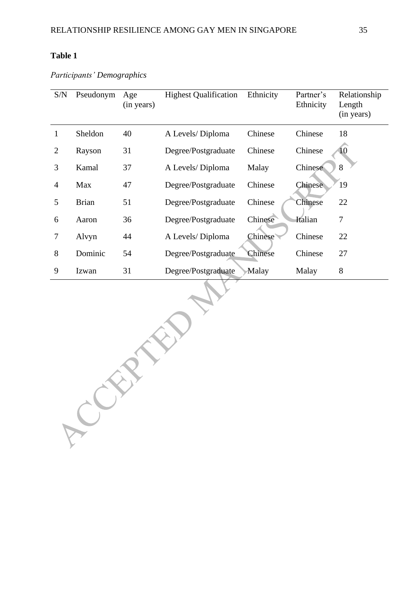ACCEPTED N

# **Table 1**

*Participants' Demographics*

| S/N            | Pseudonym    | Age<br>(in years) | <b>Highest Qualification</b> | Ethnicity      | Partner's<br>Ethnicity | Relationship<br>Length<br>(in years) |
|----------------|--------------|-------------------|------------------------------|----------------|------------------------|--------------------------------------|
| 1              | Sheldon      | 40                | A Levels/Diploma             | Chinese        | Chinese                | 18                                   |
| $\overline{2}$ | Rayson       | 31                | Degree/Postgraduate          | Chinese        | Chinese                |                                      |
| 3              | Kamal        | 37                | A Levels/Diploma             | Malay          | Chinese                | 8                                    |
| $\overline{4}$ | Max          | 47                | Degree/Postgraduate          | Chinese        | <b>Chinese</b>         | 19                                   |
| 5              | <b>Brian</b> | 51                | Degree/Postgraduate          | Chinese        | Chinese                | 22                                   |
| 6              | Aaron        | 36                | Degree/Postgraduate          | Chinese        | Italian                | 7                                    |
| 7              | Alvyn        | 44                | A Levels/Diploma             | <b>Chinese</b> | Chinese                | 22                                   |
| 8              | Dominic      | 54                | Degree/Postgraduate          | Chinese        | Chinese                | 27                                   |
| 9              | Izwan        | 31                | Degree/Postgraduate          | Malay          | Malay                  | 8                                    |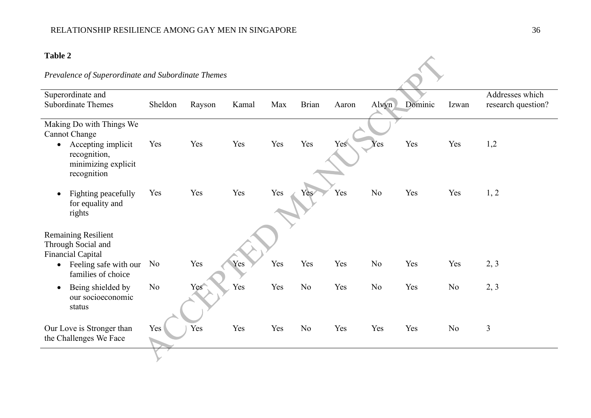# **Table 2**

# *Prevalence of Superordinate and Subordinate Themes*

| Superordinate and                                                                     |          |        |       |     |                |       |                |         |       | Addresses which    |
|---------------------------------------------------------------------------------------|----------|--------|-------|-----|----------------|-------|----------------|---------|-------|--------------------|
| <b>Subordinate Themes</b>                                                             | Sheldon  | Rayson | Kamal | Max | <b>Brian</b>   | Aaron | Alvyn          | Dominic | Izwan | research question? |
|                                                                                       |          |        |       |     |                |       |                |         |       |                    |
| Making Do with Things We                                                              |          |        |       |     |                |       |                |         |       |                    |
| <b>Cannot Change</b>                                                                  |          |        |       |     |                |       |                |         |       |                    |
| Accepting implicit<br>$\bullet$<br>recognition,<br>minimizing explicit<br>recognition | Yes      | Yes    | Yes   | Yes | Yes            | Yes   | Yes            | Yes     | Yes   | 1,2                |
| Fighting peacefully<br>$\bullet$<br>for equality and<br>rights                        | Yes      | Yes    | Yes   | Yes | Yes            | Yes   | No             | Yes     | Yes   | 1, 2               |
| <b>Remaining Resilient</b><br>Through Social and<br><b>Financial Capital</b>          |          |        |       |     |                |       |                |         |       |                    |
| Feeling safe with our<br>$\bullet$<br>families of choice                              | No       | Yes    | Yes   | Yes | Yes            | Yes   | N <sub>o</sub> | Yes     | Yes   | 2, 3               |
| Being shielded by<br>$\bullet$<br>our socioeconomic<br>status                         | $\rm No$ | Yes    | Yes   | Yes | N <sub>o</sub> | Yes   | N <sub>o</sub> | Yes     | No    | 2, 3               |
| Our Love is Stronger than<br>the Challenges We Face                                   | Yes      | Yes    | Yes   | Yes | N <sub>o</sub> | Yes   | Yes            | Yes     | No    | 3                  |
|                                                                                       |          |        |       |     |                |       |                |         |       |                    |

 $\lambda$